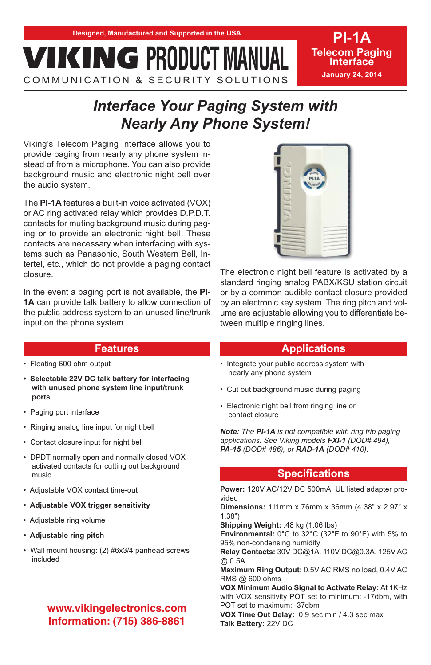COMMUNICATION & SECURITY SOLUTIONS

# **PI-1A Telecom Paging Interface January 24, 2014**

# *Interface Your Paging System with*

Viking's Telecom Paging Interface allows you to provide paging from nearly any phone system instead of from a microphone. You can also provide background music and electronic night bell over the audio system.

The **PI-1A** features a built-in voice activated (VOX) or AC ring activated relay which provides D.P.D.T. contacts for muting background music during paging or to provide an electronic night bell. These contacts are necessary when interfacing with systems such as Panasonic, South Western Bell, Intertel, etc., which do not provide a paging contact closure.

In the event a paging port is not available, the **PI-1A** can provide talk battery to allow connection of the public address system to an unused line/trunk input on the phone system.



The electronic night bell feature is activated by a standard ringing analog PABX/KSU station circuit or by a common audible contact closure provided by an electronic key system. The ring pitch and volume are adjustable allowing you to differentiate between multiple ringing lines.

# **Applications**

- Integrate your public address system with nearly any phone system
- Cut out background music during paging
- Electronic night bell from ringing line or contact closure

*Note: The PI-1A is not compatible with ring trip paging applications. See Viking models FXI-1 (DOD# 494), PA-15 (DOD# 486), or RAD-1A (DOD# 410).*

# **Specifications**

**Power:** 120V AC/12V DC 500mA, UL listed adapter provided

**Dimensions:** 111mm x 76mm x 36mm (4.38" x 2.97" x 1.38")

**Shipping Weight:** .48 kg (1.06 lbs)

**Environmental:** 0°C to 32°C (32°F to 90°F) with 5% to 95% non-condensing humidity

**Relay Contacts:** 30V DC@1A, 110V DC@0.3A, 125V AC @ 0.5A

**Maximum Ring Output:** 0.5V AC RMS no load, 0.4V AC RMS @ 600 ohms

**VOX Minimum Audio Signal to Activate Relay:** At 1KHz with VOX sensitivity POT set to minimum: -17dbm, with POT set to maximum: -37dbm

**VOX Time Out Delay:** 0.9 sec min / 4.3 sec max **Talk Battery:** 22V DC

# **Features**

- Floating 600 ohm output
- **Selectable 22V DC talk battery for interfacing with unused phone system line input/trunk ports**
- Paging port interface
- Ringing analog line input for night bell
- Contact closure input for night bell
- DPDT normally open and normally closed VOX activated contacts for cutting out background music
- Adjustable VOX contact time-out
- **Adjustable VOX trigger sensitivity**
- Adjustable ring volume
- **Adjustable ring pitch**
- Wall mount housing: (2) #6x3/4 panhead screws included

# **Information: (715) 386-8861 Information: (715) 386-8861**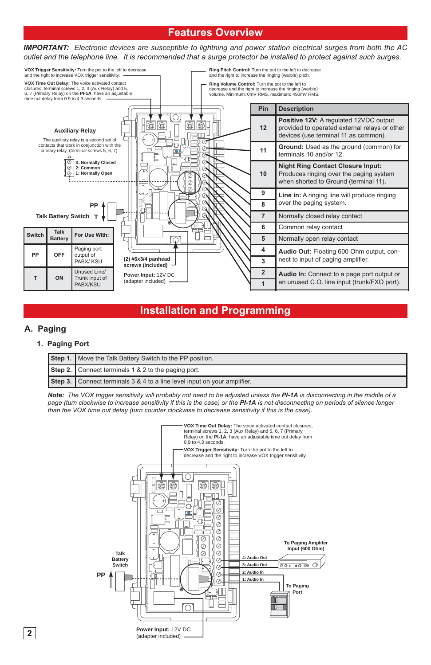# **Features Overview**

*IMPORTANT: Electronic devices are susceptible to lightning and power station electrical surges from both the AC outlet and the telephone line. It is recommended that a surge protector be installed to protect against such surges.* 



# **Installation and Programming**

#### **A. Paging**

#### **1. Paging Port**

| Step 1.   Move the Talk Battery Switch to the PP position.               |  |
|--------------------------------------------------------------------------|--|
| Step 2. Connect terminals 1 & 2 to the paging port.                      |  |
| Step 3. Connect terminals 3 & 4 to a line level input on your amplifier. |  |

*Note: The VOX trigger sensitivity will probably not need to be adjusted unless the PI-1A is disconnecting in the middle of a page (turn clockwise to increase sensitivity if this is the case) or the PI-1A is not disconnecting on periods of silence longer than the VOX time out delay (turn counter clockwise to decrease sensitivity if this is the case).*

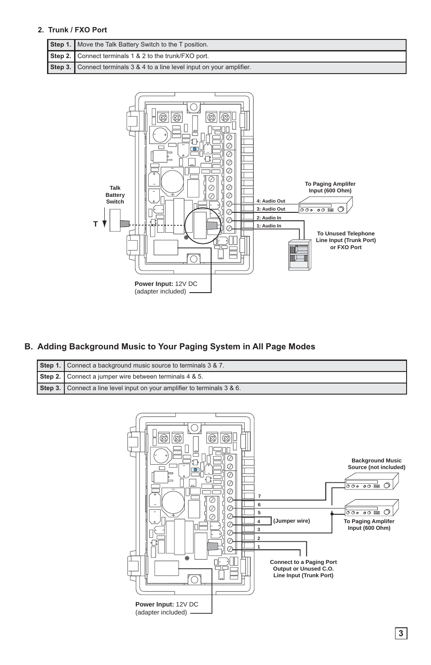#### **2. Trunk / FXO Port**

| Step 1.   Move the Talk Battery Switch to the T position.                |  |
|--------------------------------------------------------------------------|--|
| Step 2. Connect terminals 1 & 2 to the trunk/FXO port.                   |  |
| Step 3. Connect terminals 3 & 4 to a line level input on your amplifier. |  |



#### **B. Adding Background Music to Your Paging System in All Page Modes**

| Step 1. Connect a background music source to terminals 3 & 7.            |  |
|--------------------------------------------------------------------------|--|
| Step 2. Connect a jumper wire between terminals 4 & 5.                   |  |
| Step 3. Connect a line level input on your amplifier to terminals 3 & 6. |  |